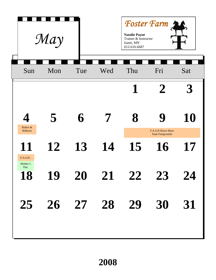|                                                       | May |     | <b>Foster Farm</b><br><b>Natalie Payne</b><br>Trainer & Instructor<br>Isanti, MN<br>612-616-6687 |                      |                                |     |
|-------------------------------------------------------|-----|-----|--------------------------------------------------------------------------------------------------|----------------------|--------------------------------|-----|
| Sun                                                   | Mon | Tue | Wed                                                                                              | Thu                  | Fri                            | Sat |
|                                                       |     |     |                                                                                                  | 1                    | $\mathbf{Z}$                   |     |
| $\overline{\mathbf{A}}$<br>Riders &<br><b>Ribbons</b> | 5   | 6   | 7                                                                                                | 8                    | F.A.S.H Horse Show             | 10  |
| 11<br>F.A.S.H.                                        | 12  | 13  | 14                                                                                               | 15                   | <b>State Fairgrounds</b><br>16 | 17  |
| Mother's<br>Day                                       |     |     |                                                                                                  | 18 19 20 21 22 23 24 |                                |     |
|                                                       |     |     |                                                                                                  | 25 26 27 28 29 30 31 |                                |     |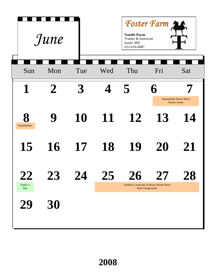|                                                                       | June                               |            | <b>Natalie Payne</b><br>Trainer & Instructor<br>Isanti, MN<br>612-616-6687 | Foster Farm                                                              |     |                                                   |
|-----------------------------------------------------------------------|------------------------------------|------------|----------------------------------------------------------------------------|--------------------------------------------------------------------------|-----|---------------------------------------------------|
| Sun                                                                   | Mon                                | Tue        | Wed                                                                        | Thu                                                                      | Fri | Sat                                               |
| $\mathbf 1$                                                           | $\mathbf 2$                        | 3          | $\overline{\mathcal{L}}$                                                   | 5                                                                        | 6   |                                                   |
| 8<br>Summerfest                                                       | 9                                  | 10         | 11                                                                         | 12                                                                       | 13  | <b>Summerfest Horse Show</b><br>Simon Arena<br>14 |
| 15                                                                    | 16                                 | 17         | 18                                                                         | 19                                                                       | 20  | 21                                                |
| $\boldsymbol{\mathcal{L}}\boldsymbol{\mathcal{L}}$<br>Father's<br>Day | $\mathcal{L}\mathcal{\mathcal{L}}$ | <b>O</b> 4 | 47                                                                         | <b>Tanbark Cavalcade of Roses Horse Show</b><br><b>State Fairgrounds</b> |     | O<br>40                                           |
|                                                                       | 30                                 |            |                                                                            |                                                                          |     |                                                   |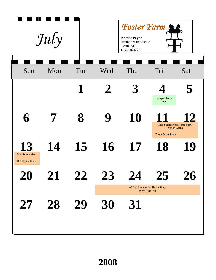|                                              | July                                                                 |     |             | Foster Farm<br><b>Natalie Payne</b><br>Trainer & Instructor<br>Isanti, MN<br>612-616-6687 |                                                                    |           |
|----------------------------------------------|----------------------------------------------------------------------|-----|-------------|-------------------------------------------------------------------------------------------|--------------------------------------------------------------------|-----------|
| Sun                                          | Mon                                                                  | Tue | Wed         | Thu                                                                                       | Fri                                                                | Sat       |
|                                              |                                                                      |     | $\mathbf 2$ | 3                                                                                         | Independence<br>Day                                                |           |
| 6                                            |                                                                      | 8   | 9           | 10                                                                                        | <b>Mid-Summerfest Horse Show</b><br>Simon Arena<br>Youth Open Show | <b>12</b> |
| 13<br>Mid-Summerfest<br><b>OTH Open Show</b> | 14                                                                   | 15  | 16          | 17                                                                                        | 18                                                                 | 19        |
| ZU                                           | $\boldsymbol{\mathcal{L}} \boldsymbol{\mathbf{\mathbf{\mathbf{I}}}}$ | L   | $\Delta$ S  | <b>ASAW Summerfun Horse Show</b>                                                          |                                                                    | ZQ        |
| 27                                           | 28                                                                   | 29  | 30          | West Allis, WI<br>31                                                                      |                                                                    |           |
|                                              |                                                                      |     |             |                                                                                           |                                                                    |           |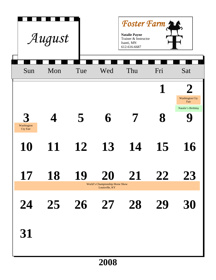|                        | August   |     |                                                   | Foster Farm<br><b>Natalie Payne</b><br>Trainer & Instructor<br>Isanti, MN<br>612-616-6687 |                 |                                                            |
|------------------------|----------|-----|---------------------------------------------------|-------------------------------------------------------------------------------------------|-----------------|------------------------------------------------------------|
| Sun                    | Mon      | Tue | Wed                                               | Thu                                                                                       | Fri             | Sat                                                        |
|                        |          |     |                                                   |                                                                                           |                 | $\boldsymbol{\mathit{L}}$<br><b>Washington Cty</b><br>Fair |
| Washington<br>Cty Fair | $\Delta$ | 5   | 6                                                 | 7                                                                                         | 8               | Natalie's Birthday                                         |
| 10                     | 11       | 12  | 13                                                | 14                                                                                        | 15              | 16                                                         |
| $\mathbf{I}'$          | 18       | 19  | World's Championship Horse Show<br>Louisville, KY | $Z\mathbf{\mathbf{\bot}}$                                                                 | $\angle \angle$ | <b>Z.S</b>                                                 |
| 24                     | 25       |     | $26 \t 27$                                        | 28                                                                                        | 29              | 30                                                         |
| 31                     |          |     |                                                   |                                                                                           |                 |                                                            |
|                        |          |     | 2008                                              |                                                                                           |                 |                                                            |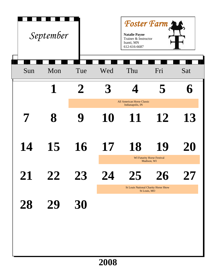| Foster Farm<br>September<br><b>Natalie Payne</b><br>Trainer & Instructor<br>Isanti, MN<br>612-616-6687 |        |              |      |                                                             |                                                  |             |
|--------------------------------------------------------------------------------------------------------|--------|--------------|------|-------------------------------------------------------------|--------------------------------------------------|-------------|
| Sun                                                                                                    | Mon    | Tue          | Wed  | Thu                                                         | Fri                                              | Sat         |
|                                                                                                        | 1      | $\mathbf Z$  |      |                                                             | 5                                                | $\mathbf 6$ |
|                                                                                                        |        |              |      | All American Horse Classic<br>Indianapolis, IN              |                                                  |             |
| 7                                                                                                      | 8      |              | 10   | 11                                                          | 12                                               | 13          |
| 14                                                                                                     | 15     | 16           | 17   | 18                                                          | 19                                               | 20          |
|                                                                                                        |        |              |      |                                                             | <b>WI Futurity Horse Festival</b><br>Madison, WI |             |
| $Z\mathbf{\mathbf{\bot}}$                                                                              | $Z\!Z$ | $\Delta$ . S | 74   |                                                             | <b>Z0</b>                                        | Z' 1        |
|                                                                                                        |        |              |      | <b>St Louis National Charity Horse Show</b><br>St Louis, MO |                                                  |             |
| 28                                                                                                     | 29     | 30           |      |                                                             |                                                  |             |
|                                                                                                        |        |              |      |                                                             |                                                  |             |
|                                                                                                        |        |              |      |                                                             |                                                  |             |
|                                                                                                        |        |              | 2008 |                                                             |                                                  |             |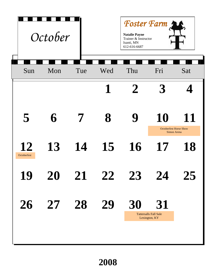| <b>Foster Farm</b><br>October<br><b>Natalie Payne</b><br>Trainer & Instructor<br>Isanti, MN<br>612-616-6687 |     |              |             |             |                                                     |     |  |
|-------------------------------------------------------------------------------------------------------------|-----|--------------|-------------|-------------|-----------------------------------------------------|-----|--|
| Sun                                                                                                         | Mon | Tue          | Wed         | Thu         | Fri                                                 | Sat |  |
|                                                                                                             |     |              | $\mathbf 1$ | $\mathbf 2$ |                                                     |     |  |
| 5                                                                                                           | 6   | 7            | 8           | 9           | 10<br><b>Octoberfest Horse Show</b><br>Simon Arena  | 11  |  |
| 12<br>Octoberfest                                                                                           | 13  | 14           | 15          | 16          | 17                                                  | 18  |  |
| 19                                                                                                          | ZU  | $\mathbf{Z}$ | ZZ          | $\angle 3$  | Z4                                                  | 25  |  |
| 26                                                                                                          | 27  | 28           | 29          | 30          | 31<br><b>Tattersalls Fall Sale</b><br>Lexington, KY |     |  |
|                                                                                                             |     |              |             |             |                                                     |     |  |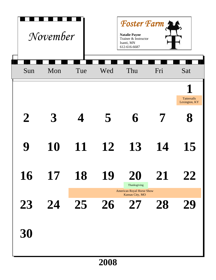| Foster Farm<br>November<br><b>Natalie Payne</b><br>Trainer & Instructor<br>Isanti, MN<br>612-616-6687 |     |     |                         |                                                           |     |                                     |  |
|-------------------------------------------------------------------------------------------------------|-----|-----|-------------------------|-----------------------------------------------------------|-----|-------------------------------------|--|
| Sun                                                                                                   | Mon | Tue | Wed                     | Thu                                                       | Fri | Sat                                 |  |
|                                                                                                       |     |     |                         |                                                           |     | <b>Tattersalls</b><br>Lexington, KY |  |
| $\boldsymbol{2}$                                                                                      | 3   |     | $\overline{\mathbf{5}}$ | 6                                                         |     | $\bf 8$                             |  |
| 9                                                                                                     | 10  | 11  | 12                      | 13                                                        | 14  | 15                                  |  |
| <b>16</b>                                                                                             | T.  | 18  | 19                      | ŽŪ<br>Thanksgiving                                        | L1  | $\mathcal{L}\mathcal{L}$            |  |
| 23                                                                                                    | 24  | 25  | 26                      | <b>American Royal Horse Show</b><br>Kansas City, MO<br>27 | 28  | 29                                  |  |
| 30                                                                                                    |     |     |                         |                                                           |     |                                     |  |
|                                                                                                       |     |     | 2008                    |                                                           |     |                                     |  |